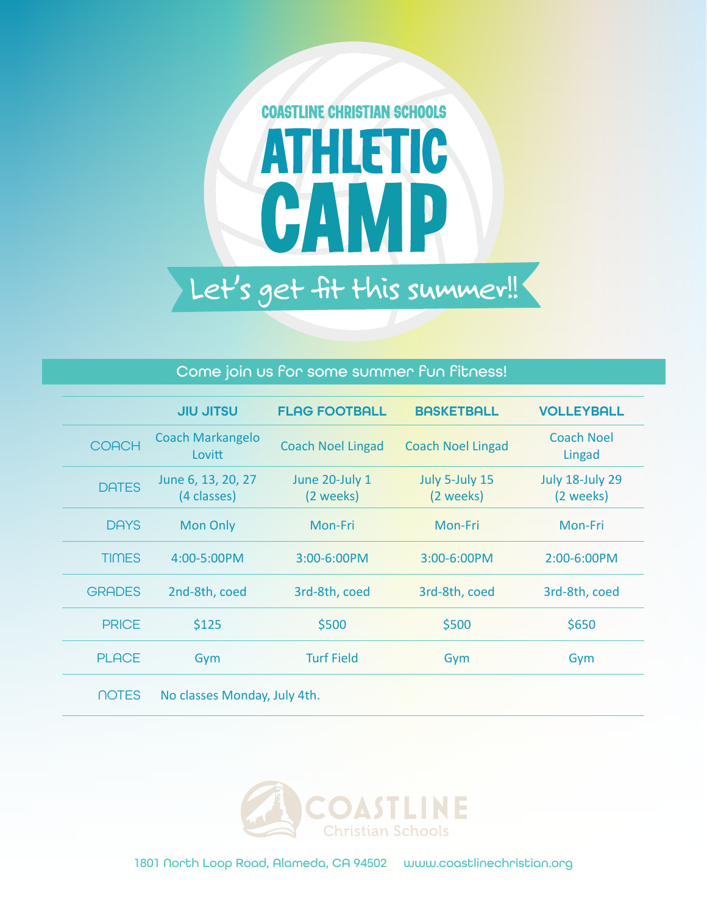

## Come join us for some summer fun fitness!

|               | <b>JIU JITSU</b>                  | <b>FLAG FOOTBALL</b>        | <b>BASKETBALL</b>           | <b>VOLLEYBALL</b>                   |
|---------------|-----------------------------------|-----------------------------|-----------------------------|-------------------------------------|
| <b>COACH</b>  | <b>Coach Markangelo</b><br>Lovitt | <b>Coach Noel Lingad</b>    | <b>Coach Noel Lingad</b>    | <b>Coach Noel</b><br>Lingad         |
| <b>DATES</b>  | June 6, 13, 20, 27<br>(4 classes) | June 20-July 1<br>(2 weeks) | July 5-July 15<br>(2 weeks) | <b>July 18-July 29</b><br>(2 weeks) |
| <b>DAYS</b>   | <b>Mon Only</b>                   | Mon-Fri                     | Mon-Fri                     | Mon-Fri                             |
| <b>TIMES</b>  | 4:00-5:00PM                       | 3:00-6:00PM                 | 3:00-6:00PM                 | 2:00-6:00PM                         |
| <b>GRADES</b> | 2nd-8th, coed                     | 3rd-8th, coed               | 3rd-8th, coed               | 3rd-8th, coed                       |
| <b>PRICE</b>  | \$125                             | \$500                       | \$500                       | \$650                               |
| <b>PLACE</b>  | Gym                               | <b>Turf Field</b>           | Gym                         | Gym                                 |
|               |                                   |                             |                             |                                     |

NOTES No classes Monday, July 4th.



1801 North Loop Road, Alameda, CA 94502 www.coastlinechristian.org